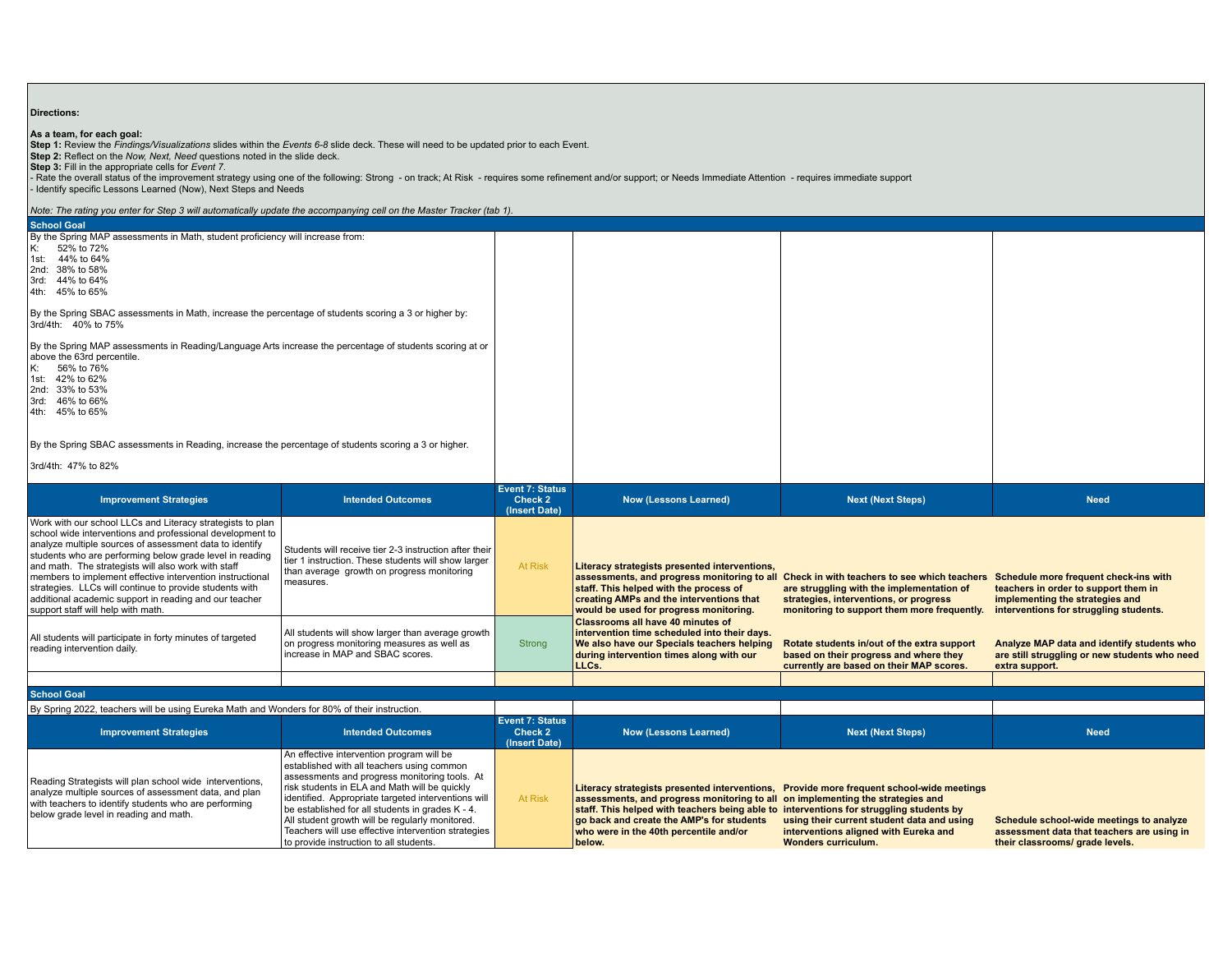| <b>Directions:</b>                                                                                                                                                                                                                                                                                                                                                                                                                                                                                                                                                                         |                                                                                                                                                                                                                                                                                                                                                                                                                                                           |                                             |                                                                                                                                                                                                                                                                            |                                                                                                                                                                                                                                |                                                                                                                                                            |  |  |  |  |  |
|--------------------------------------------------------------------------------------------------------------------------------------------------------------------------------------------------------------------------------------------------------------------------------------------------------------------------------------------------------------------------------------------------------------------------------------------------------------------------------------------------------------------------------------------------------------------------------------------|-----------------------------------------------------------------------------------------------------------------------------------------------------------------------------------------------------------------------------------------------------------------------------------------------------------------------------------------------------------------------------------------------------------------------------------------------------------|---------------------------------------------|----------------------------------------------------------------------------------------------------------------------------------------------------------------------------------------------------------------------------------------------------------------------------|--------------------------------------------------------------------------------------------------------------------------------------------------------------------------------------------------------------------------------|------------------------------------------------------------------------------------------------------------------------------------------------------------|--|--|--|--|--|
| As a team, for each goal:<br>Step 1: Review the Findings/Visualizations slides within the Events 6-8 slide deck. These will need to be updated prior to each Event.<br>Step 2: Reflect on the Now, Next, Need questions noted in the slide deck.<br>Step 3: Fill in the appropriate cells for Event 7.<br>Rate the overall status of the improvement strategy using one of the following: Strong - on track; At Risk - requires some refinement and/or support; or Needs Immediate Attention - requires immediate support<br>Identify specific Lessons Learned (Now), Next Steps and Needs |                                                                                                                                                                                                                                                                                                                                                                                                                                                           |                                             |                                                                                                                                                                                                                                                                            |                                                                                                                                                                                                                                |                                                                                                                                                            |  |  |  |  |  |
| Note: The rating you enter for Step 3 will automatically update the accompanying cell on the Master Tracker (tab 1).                                                                                                                                                                                                                                                                                                                                                                                                                                                                       |                                                                                                                                                                                                                                                                                                                                                                                                                                                           |                                             |                                                                                                                                                                                                                                                                            |                                                                                                                                                                                                                                |                                                                                                                                                            |  |  |  |  |  |
| <b>School Goal</b><br>By the Spring MAP assessments in Math, student proficiency will increase from:<br>52% to 72%<br>K:<br>44% to 64%<br>1st:<br>2nd: 38% to 58%<br>3rd: 44% to 64%<br>4th: 45% to 65%                                                                                                                                                                                                                                                                                                                                                                                    |                                                                                                                                                                                                                                                                                                                                                                                                                                                           |                                             |                                                                                                                                                                                                                                                                            |                                                                                                                                                                                                                                |                                                                                                                                                            |  |  |  |  |  |
| By the Spring SBAC assessments in Math, increase the percentage of students scoring a 3 or higher by:<br>3rd/4th: 40% to 75%                                                                                                                                                                                                                                                                                                                                                                                                                                                               |                                                                                                                                                                                                                                                                                                                                                                                                                                                           |                                             |                                                                                                                                                                                                                                                                            |                                                                                                                                                                                                                                |                                                                                                                                                            |  |  |  |  |  |
| By the Spring MAP assessments in Reading/Language Arts increase the percentage of students scoring at or<br>above the 63rd percentile.<br>56% to 76%<br>K:<br>1st: 42% to 62%<br>2nd: 33% to 53%<br>3rd: 46% to 66%<br>4th: 45% to 65%                                                                                                                                                                                                                                                                                                                                                     |                                                                                                                                                                                                                                                                                                                                                                                                                                                           |                                             |                                                                                                                                                                                                                                                                            |                                                                                                                                                                                                                                |                                                                                                                                                            |  |  |  |  |  |
| By the Spring SBAC assessments in Reading, increase the percentage of students scoring a 3 or higher.                                                                                                                                                                                                                                                                                                                                                                                                                                                                                      |                                                                                                                                                                                                                                                                                                                                                                                                                                                           |                                             |                                                                                                                                                                                                                                                                            |                                                                                                                                                                                                                                |                                                                                                                                                            |  |  |  |  |  |
| 3rd/4th: 47% to 82%                                                                                                                                                                                                                                                                                                                                                                                                                                                                                                                                                                        |                                                                                                                                                                                                                                                                                                                                                                                                                                                           |                                             |                                                                                                                                                                                                                                                                            |                                                                                                                                                                                                                                |                                                                                                                                                            |  |  |  |  |  |
| <b>Improvement Strategies</b>                                                                                                                                                                                                                                                                                                                                                                                                                                                                                                                                                              | <b>Intended Outcomes</b>                                                                                                                                                                                                                                                                                                                                                                                                                                  | Event 7: Status<br>Check 2<br>(Insert Date) | <b>Now (Lessons Learned)</b>                                                                                                                                                                                                                                               | <b>Next (Next Steps)</b>                                                                                                                                                                                                       | <b>Need</b>                                                                                                                                                |  |  |  |  |  |
| Work with our school LLCs and Literacy strategists to plan<br>school wide interventions and professional development to<br>analyze multiple sources of assessment data to identify<br>students who are performing below grade level in reading<br>and math. The strategists will also work with staff<br>members to implement effective intervention instructional<br>strategies. LLCs will continue to provide students with<br>additional academic support in reading and our teacher<br>support staff will help with math.                                                              | Students will receive tier 2-3 instruction after their<br>tier 1 instruction. These students will show larger<br>than average growth on progress monitoring<br>measures.                                                                                                                                                                                                                                                                                  | At Risk                                     | Literacy strategists presented interventions,<br>staff. This helped with the process of<br>creating AMPs and the interventions that<br>would be used for progress monitoring.                                                                                              | assessments, and progress monitoring to all Check in with teachers to see which teachers<br>are struggling with the implementation of<br>strategies, interventions, or progress<br>monitoring to support them more frequently. | Schedule more frequent check-ins with<br>teachers in order to support them in<br>implementing the strategies and<br>interventions for struggling students. |  |  |  |  |  |
| All students will participate in forty minutes of targeted<br>reading intervention daily.                                                                                                                                                                                                                                                                                                                                                                                                                                                                                                  | All students will show larger than average growth<br>on progress monitoring measures as well as<br>increase in MAP and SBAC scores.                                                                                                                                                                                                                                                                                                                       | Strong                                      | <b>Classrooms all have 40 minutes of</b><br>intervention time scheduled into their days.<br>We also have our Specials teachers helping<br>during intervention times along with our<br>LLCs.                                                                                | Rotate students in/out of the extra support<br>based on their progress and where they<br>currently are based on their MAP scores.                                                                                              | Analyze MAP data and identify students who<br>are still struggling or new students who need<br>extra support.                                              |  |  |  |  |  |
|                                                                                                                                                                                                                                                                                                                                                                                                                                                                                                                                                                                            |                                                                                                                                                                                                                                                                                                                                                                                                                                                           |                                             |                                                                                                                                                                                                                                                                            |                                                                                                                                                                                                                                |                                                                                                                                                            |  |  |  |  |  |
| <b>School Goal</b><br>By Spring 2022, teachers will be using Eureka Math and Wonders for 80% of their instruction.                                                                                                                                                                                                                                                                                                                                                                                                                                                                         |                                                                                                                                                                                                                                                                                                                                                                                                                                                           |                                             |                                                                                                                                                                                                                                                                            |                                                                                                                                                                                                                                |                                                                                                                                                            |  |  |  |  |  |
|                                                                                                                                                                                                                                                                                                                                                                                                                                                                                                                                                                                            |                                                                                                                                                                                                                                                                                                                                                                                                                                                           | <b>Event 7: Status</b>                      |                                                                                                                                                                                                                                                                            |                                                                                                                                                                                                                                |                                                                                                                                                            |  |  |  |  |  |
| <b>Improvement Strategies</b>                                                                                                                                                                                                                                                                                                                                                                                                                                                                                                                                                              | <b>Intended Outcomes</b>                                                                                                                                                                                                                                                                                                                                                                                                                                  | Check 2<br>(Insert Date)                    | <b>Now (Lessons Learned)</b>                                                                                                                                                                                                                                               | <b>Next (Next Steps)</b>                                                                                                                                                                                                       | <b>Need</b>                                                                                                                                                |  |  |  |  |  |
| Reading Strategists will plan school wide interventions,<br>analyze multiple sources of assessment data, and plan<br>with teachers to identify students who are performing<br>below grade level in reading and math.                                                                                                                                                                                                                                                                                                                                                                       | An effective intervention program will be<br>established with all teachers using common<br>assessments and progress monitoring tools. At<br>risk students in ELA and Math will be quickly<br>identified. Appropriate targeted interventions will<br>be established for all students in grades K - 4.<br>All student growth will be regularly monitored.<br>Teachers will use effective intervention strategies<br>to provide instruction to all students. | At Risk                                     | assessments, and progress monitoring to all on implementing the strategies and<br>staff. This helped with teachers being able to interventions for struggling students by<br>go back and create the AMP's for students<br>who were in the 40th percentile and/or<br>below. | Literacy strategists presented interventions, Provide more frequent school-wide meetings<br>using their current student data and using<br>interventions aligned with Eureka and<br><b>Wonders curriculum.</b>                  | Schedule school-wide meetings to analyze<br>assessment data that teachers are using in<br>their classrooms/ grade levels.                                  |  |  |  |  |  |